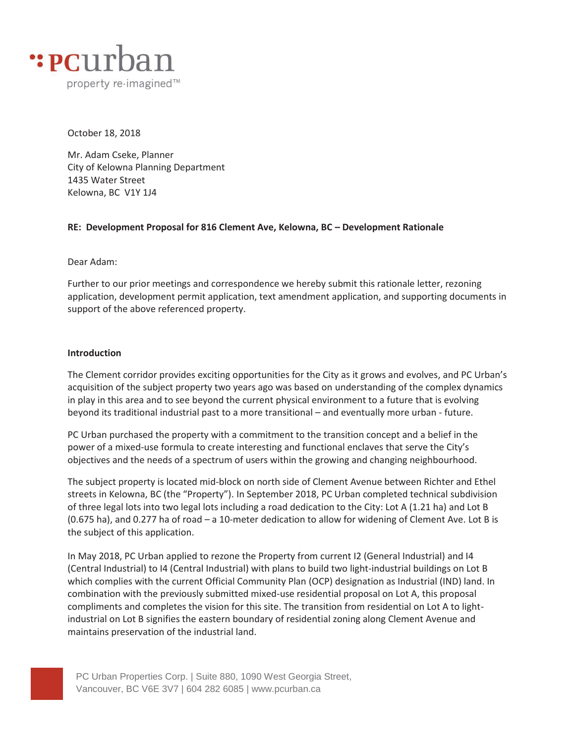

October 18, 2018

Mr. Adam Cseke, Planner City of Kelowna Planning Department 1435 Water Street Kelowna, BC V1Y 1J4

### **RE: Development Proposal for 816 Clement Ave, Kelowna, BC – Development Rationale**

Dear Adam:

Further to our prior meetings and correspondence we hereby submit this rationale letter, rezoning application, development permit application, text amendment application, and supporting documents in support of the above referenced property.

### **Introduction**

The Clement corridor provides exciting opportunities for the City as it grows and evolves, and PC Urban's acquisition of the subject property two years ago was based on understanding of the complex dynamics in play in this area and to see beyond the current physical environment to a future that is evolving beyond its traditional industrial past to a more transitional – and eventually more urban - future.

PC Urban purchased the property with a commitment to the transition concept and a belief in the power of a mixed-use formula to create interesting and functional enclaves that serve the City's objectives and the needs of a spectrum of users within the growing and changing neighbourhood.

The subject property is located mid-block on north side of Clement Avenue between Richter and Ethel streets in Kelowna, BC (the "Property"). In September 2018, PC Urban completed technical subdivision of three legal lots into two legal lots including a road dedication to the City: Lot A (1.21 ha) and Lot B (0.675 ha), and 0.277 ha of road – a 10-meter dedication to allow for widening of Clement Ave. Lot B is the subject of this application.

In May 2018, PC Urban applied to rezone the Property from current I2 (General Industrial) and I4 (Central Industrial) to I4 (Central Industrial) with plans to build two light-industrial buildings on Lot B which complies with the current Official Community Plan (OCP) designation as Industrial (IND) land. In combination with the previously submitted mixed-use residential proposal on Lot A, this proposal compliments and completes the vision for this site. The transition from residential on Lot A to lightindustrial on Lot B signifies the eastern boundary of residential zoning along Clement Avenue and maintains preservation of the industrial land.

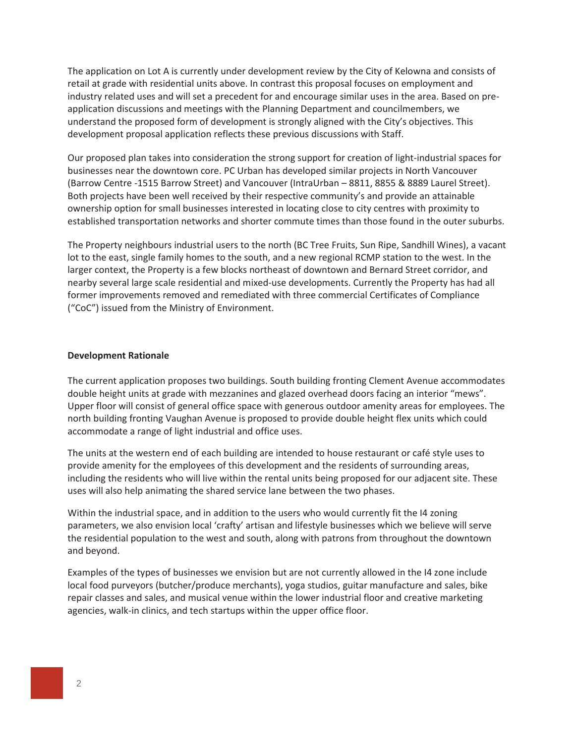The application on Lot A is currently under development review by the City of Kelowna and consists of retail at grade with residential units above. In contrast this proposal focuses on employment and industry related uses and will set a precedent for and encourage similar uses in the area. Based on preapplication discussions and meetings with the Planning Department and councilmembers, we understand the proposed form of development is strongly aligned with the City's objectives. This development proposal application reflects these previous discussions with Staff.

Our proposed plan takes into consideration the strong support for creation of light-industrial spaces for businesses near the downtown core. PC Urban has developed similar projects in North Vancouver (Barrow Centre -1515 Barrow Street) and Vancouver (IntraUrban – 8811, 8855 & 8889 Laurel Street). Both projects have been well received by their respective community's and provide an attainable ownership option for small businesses interested in locating close to city centres with proximity to established transportation networks and shorter commute times than those found in the outer suburbs.

The Property neighbours industrial users to the north (BC Tree Fruits, Sun Ripe, Sandhill Wines), a vacant lot to the east, single family homes to the south, and a new regional RCMP station to the west. In the larger context, the Property is a few blocks northeast of downtown and Bernard Street corridor, and nearby several large scale residential and mixed-use developments. Currently the Property has had all former improvements removed and remediated with three commercial Certificates of Compliance ("CoC") issued from the Ministry of Environment.

### **Development Rationale**

The current application proposes two buildings. South building fronting Clement Avenue accommodates double height units at grade with mezzanines and glazed overhead doors facing an interior "mews". Upper floor will consist of general office space with generous outdoor amenity areas for employees. The north building fronting Vaughan Avenue is proposed to provide double height flex units which could accommodate a range of light industrial and office uses.

The units at the western end of each building are intended to house restaurant or café style uses to provide amenity for the employees of this development and the residents of surrounding areas, including the residents who will live within the rental units being proposed for our adjacent site. These uses will also help animating the shared service lane between the two phases.

Within the industrial space, and in addition to the users who would currently fit the I4 zoning parameters, we also envision local 'crafty' artisan and lifestyle businesses which we believe will serve the residential population to the west and south, along with patrons from throughout the downtown and beyond.

Examples of the types of businesses we envision but are not currently allowed in the I4 zone include local food purveyors (butcher/produce merchants), yoga studios, guitar manufacture and sales, bike repair classes and sales, and musical venue within the lower industrial floor and creative marketing agencies, walk-in clinics, and tech startups within the upper office floor.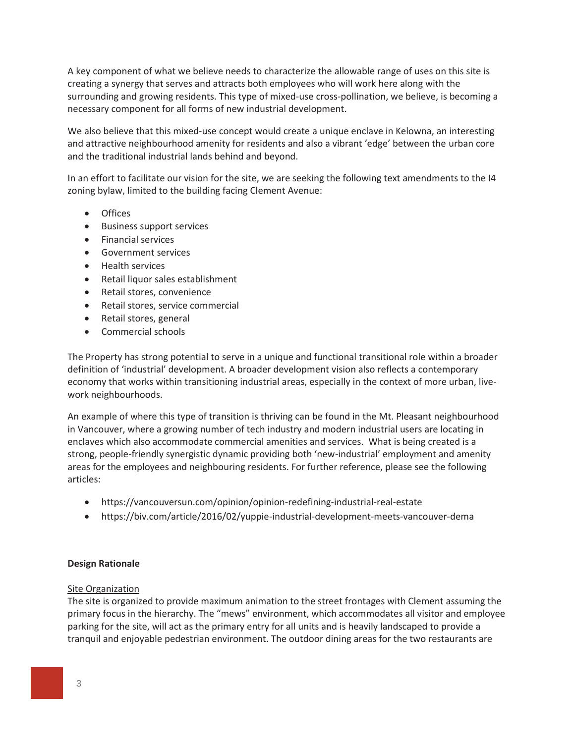A key component of what we believe needs to characterize the allowable range of uses on this site is creating a synergy that serves and attracts both employees who will work here along with the surrounding and growing residents. This type of mixed-use cross-pollination, we believe, is becoming a necessary component for all forms of new industrial development.

We also believe that this mixed-use concept would create a unique enclave in Kelowna, an interesting and attractive neighbourhood amenity for residents and also a vibrant 'edge' between the urban core and the traditional industrial lands behind and beyond.

In an effort to facilitate our vision for the site, we are seeking the following text amendments to the I4 zoning bylaw, limited to the building facing Clement Avenue:

- Offices
- **•** Business support services
- Financial services
- **•** Government services
- Health services
- Retail liquor sales establishment
- Retail stores, convenience
- Retail stores, service commercial
- Retail stores, general
- Commercial schools

The Property has strong potential to serve in a unique and functional transitional role within a broader definition of 'industrial' development. A broader development vision also reflects a contemporary economy that works within transitioning industrial areas, especially in the context of more urban, livework neighbourhoods.

An example of where this type of transition is thriving can be found in the Mt. Pleasant neighbourhood in Vancouver, where a growing number of tech industry and modern industrial users are locating in enclaves which also accommodate commercial amenities and services. What is being created is a strong, people-friendly synergistic dynamic providing both 'new-industrial' employment and amenity areas for the employees and neighbouring residents. For further reference, please see the following articles:

- x https://vancouversun.com/opinion/opinion-redefining-industrial-real-estate
- x https://biv.com/article/2016/02/yuppie-industrial-development-meets-vancouver-dema

### **Design Rationale**

### Site Organization

The site is organized to provide maximum animation to the street frontages with Clement assuming the primary focus in the hierarchy. The "mews" environment, which accommodates all visitor and employee parking for the site, will act as the primary entry for all units and is heavily landscaped to provide a tranquil and enjoyable pedestrian environment. The outdoor dining areas for the two restaurants are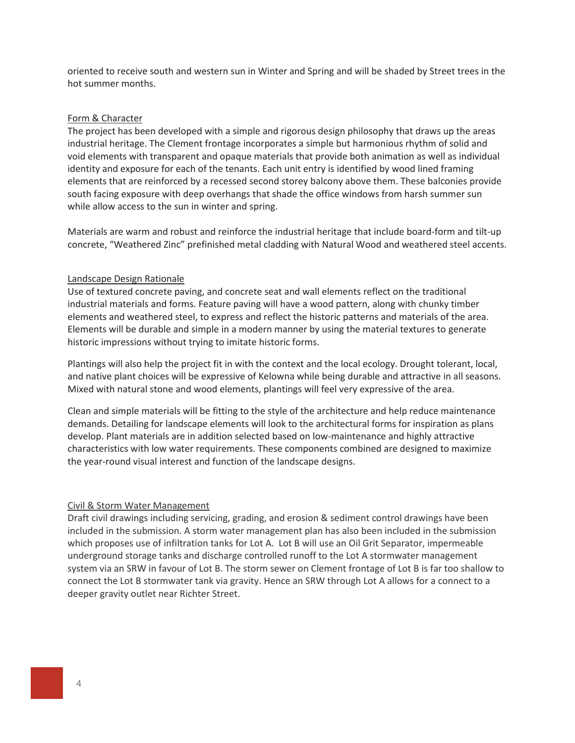oriented to receive south and western sun in Winter and Spring and will be shaded by Street trees in the hot summer months.

### Form & Character

The project has been developed with a simple and rigorous design philosophy that draws up the areas industrial heritage. The Clement frontage incorporates a simple but harmonious rhythm of solid and void elements with transparent and opaque materials that provide both animation as well as individual identity and exposure for each of the tenants. Each unit entry is identified by wood lined framing elements that are reinforced by a recessed second storey balcony above them. These balconies provide south facing exposure with deep overhangs that shade the office windows from harsh summer sun while allow access to the sun in winter and spring.

Materials are warm and robust and reinforce the industrial heritage that include board-form and tilt-up concrete, "Weathered Zinc" prefinished metal cladding with Natural Wood and weathered steel accents.

### Landscape Design Rationale

Use of textured concrete paving, and concrete seat and wall elements reflect on the traditional industrial materials and forms. Feature paving will have a wood pattern, along with chunky timber elements and weathered steel, to express and reflect the historic patterns and materials of the area. Elements will be durable and simple in a modern manner by using the material textures to generate historic impressions without trying to imitate historic forms.

Plantings will also help the project fit in with the context and the local ecology. Drought tolerant, local, and native plant choices will be expressive of Kelowna while being durable and attractive in all seasons. Mixed with natural stone and wood elements, plantings will feel very expressive of the area.

Clean and simple materials will be fitting to the style of the architecture and help reduce maintenance demands. Detailing for landscape elements will look to the architectural forms for inspiration as plans develop. Plant materials are in addition selected based on low-maintenance and highly attractive characteristics with low water requirements. These components combined are designed to maximize the year-round visual interest and function of the landscape designs.

### Civil & Storm Water Management

Draft civil drawings including servicing, grading, and erosion & sediment control drawings have been included in the submission. A storm water management plan has also been included in the submission which proposes use of infiltration tanks for Lot A. Lot B will use an Oil Grit Separator, impermeable underground storage tanks and discharge controlled runoff to the Lot A stormwater management system via an SRW in favour of Lot B. The storm sewer on Clement frontage of Lot B is far too shallow to connect the Lot B stormwater tank via gravity. Hence an SRW through Lot A allows for a connect to a deeper gravity outlet near Richter Street.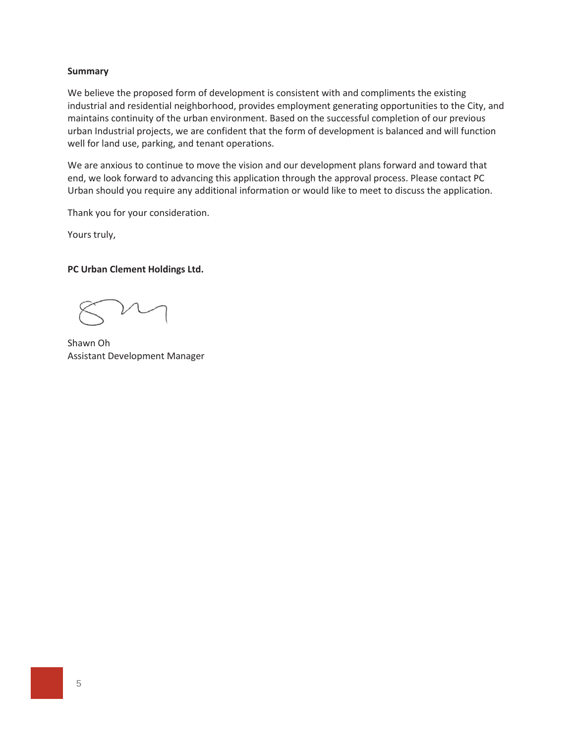### **Summary**

We believe the proposed form of development is consistent with and compliments the existing industrial and residential neighborhood, provides employment generating opportunities to the City, and maintains continuity of the urban environment. Based on the successful completion of our previous urban Industrial projects, we are confident that the form of development is balanced and will function well for land use, parking, and tenant operations.

We are anxious to continue to move the vision and our development plans forward and toward that end, we look forward to advancing this application through the approval process. Please contact PC Urban should you require any additional information or would like to meet to discuss the application.

Thank you for your consideration.

Yours truly,

### **PC Urban Clement Holdings Ltd.**

Shawn Oh Assistant Development Manager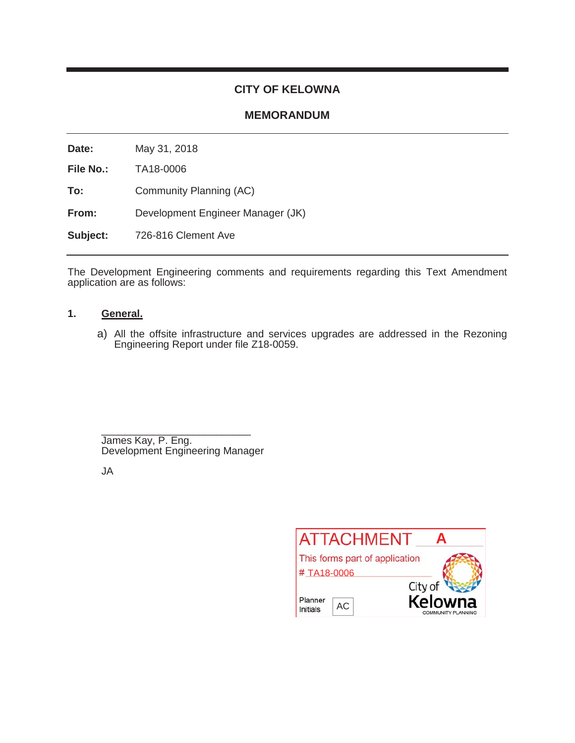### **CITY OF KELOWNA**

### **MEMORANDUM**

**Date:** May 31, 2018

**File No.:** TA18-0006

**To:** Community Planning (AC)

**From:** Development Engineer Manager (JK)

**Subject:** 726-816 Clement Ave

The Development Engineering comments and requirements regarding this Text Amendment application are as follows:

### **1. General.**

a) All the offsite infrastructure and services upgrades are addressed in the Rezoning Engineering Report under file Z18-0059.

\_\_\_\_\_\_\_\_\_\_\_\_\_\_\_\_\_\_\_\_\_\_\_\_\_\_ James Kay, P. Eng. Development Engineering Manager

JA

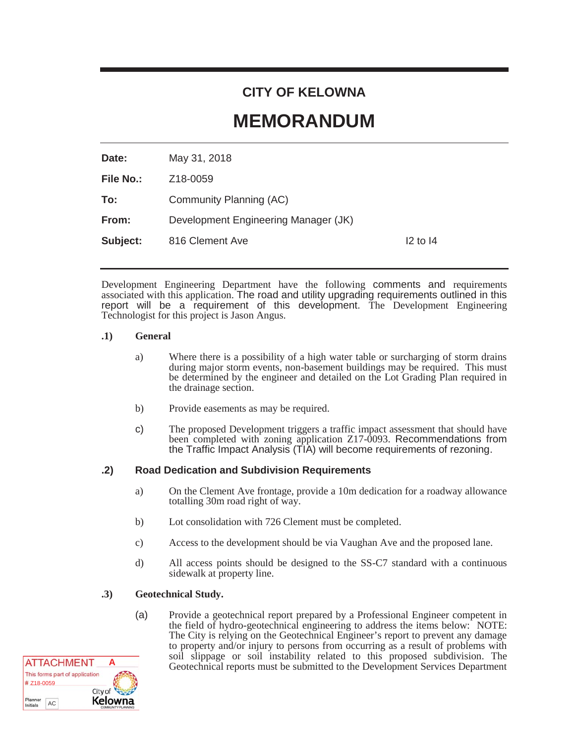### **CITY OF KELOWNA**

## **MEMORANDUM**

| Date:     | May 31, 2018                         |              |
|-----------|--------------------------------------|--------------|
| File No.: | Z <sub>18</sub> -0059                |              |
| To:       | Community Planning (AC)              |              |
| From:     | Development Engineering Manager (JK) |              |
| Subject:  | 816 Clement Ave                      | $12$ to $14$ |
|           |                                      |              |

Development Engineering Department have the following comments and requirements associated with this application. The road and utility upgrading requirements outlined in this report will be a requirement of this development. The Development Engineering Technologist for this project is Jason Angus.

### **.1) General**

- a) Where there is a possibility of a high water table or surcharging of storm drains during major storm events, non-basement buildings may be required. This must be determined by the engineer and detailed on the Lot Grading Plan required in the drainage section.
- b) Provide easements as may be required.
- c) The proposed Development triggers a traffic impact assessment that should have been completed with zoning application Z17-0093. Recommendations from the Traffic Impact Analysis (TIA) will become requirements of rezoning.

### **.2) Road Dedication and Subdivision Requirements**

- a) On the Clement Ave frontage, provide a 10m dedication for a roadway allowance totalling 30m road right of way.
- b) Lot consolidation with 726 Clement must be completed.
- c) Access to the development should be via Vaughan Ave and the proposed lane.
- d) All access points should be designed to the SS-C7 standard with a continuous sidewalk at property line.

### **.3) Geotechnical Study.**

(a) Provide a geotechnical report prepared by a Professional Engineer competent in the field of hydro-geotechnical engineering to address the items below: NOTE: The City is relying on the Geotechnical Engineer's report to prevent any damage to property and/or injury to persons from occurring as a result of problems with soil slippage or soil instability related to this proposed subdivision. The Geotechnical reports must be submitted to the Development Services Department **<sup>A</sup>**

|                           | <b>ATTACHMENT</b>              | Δ                             |
|---------------------------|--------------------------------|-------------------------------|
|                           | This forms part of application |                               |
| $#$ Z <sub>18</sub> -0059 |                                |                               |
|                           |                                | City of                       |
| Planner<br>Initials       | AC.                            | Kelowna<br>COMMUNITY PLANNING |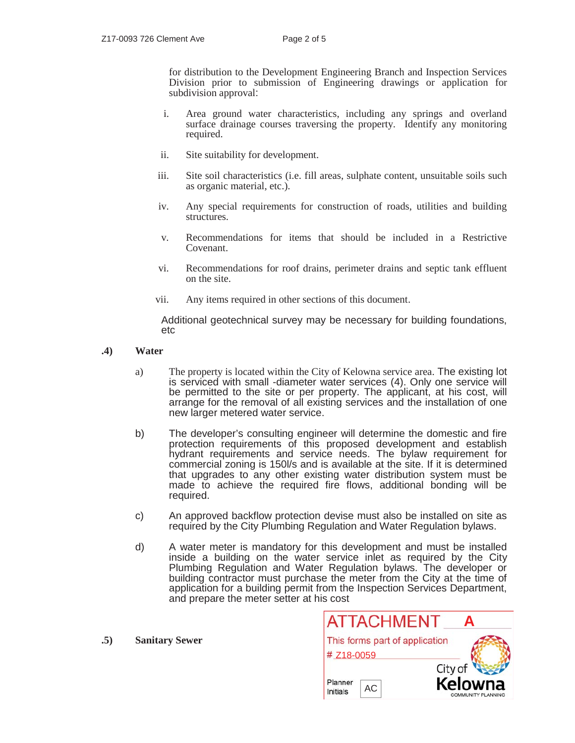for distribution to the Development Engineering Branch and Inspection Services Division prior to submission of Engineering drawings or application for subdivision approval:

- i. Area ground water characteristics, including any springs and overland surface drainage courses traversing the property. Identify any monitoring required.
- ii. Site suitability for development.
- iii. Site soil characteristics (i.e. fill areas, sulphate content, unsuitable soils such as organic material, etc.).
- iv. Any special requirements for construction of roads, utilities and building structures.
- v. Recommendations for items that should be included in a Restrictive Covenant.
- vi. Recommendations for roof drains, perimeter drains and septic tank effluent on the site.
- vii. Any items required in other sections of this document.

Additional geotechnical survey may be necessary for building foundations, etc

- **.4) Water** 
	- a) The property is located within the City of Kelowna service area. The existing lot is serviced with small -diameter water services (4). Only one service will be permitted to the site or per property. The applicant, at his cost, will arrange for the removal of all existing services and the installation of one new larger metered water service.
	- b) The developer's consulting engineer will determine the domestic and fire protection requirements of this proposed development and establish hydrant requirements and service needs. The bylaw requirement for commercial zoning is 150l/s and is available at the site. If it is determined that upgrades to any other existing water distribution system must be made to achieve the required fire flows, additional bonding will be required.
	- c) An approved backflow protection devise must also be installed on site as required by the City Plumbing Regulation and Water Regulation bylaws.
	- d) A water meter is mandatory for this development and must be installed inside a building on the water service inlet as required by the City Plumbing Regulation and Water Regulation bylaws. The developer or building contractor must purchase the meter from the City at the time of application for a building permit from the Inspection Services Department, and prepare the meter setter at his cost
		- ATTACHMENT **A** This forms part of application # Z18-0059 City o Planner Kelov ACInitials **COMMUNITY PLANNING**

**.5) Sanitary Sewer**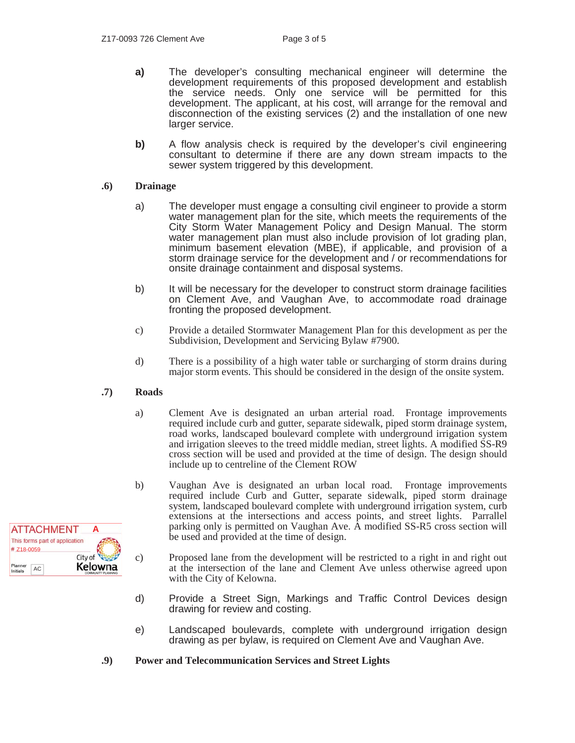- **a)** The developer's consulting mechanical engineer will determine the development requirements of this proposed development and establish the service needs. Only one service will be permitted for this development. The applicant, at his cost, will arrange for the removal and disconnection of the existing services (2) and the installation of one new larger service.
- **b)** A flow analysis check is required by the developer's civil engineering consultant to determine if there are any down stream impacts to the sewer system triggered by this development.

### **.6) Drainage**

- a) The developer must engage a consulting civil engineer to provide a storm water management plan for the site, which meets the requirements of the City Storm Water Management Policy and Design Manual. The storm water management plan must also include provision of lot grading plan, minimum basement elevation (MBE), if applicable, and provision of a storm drainage service for the development and / or recommendations for onsite drainage containment and disposal systems.
- b) It will be necessary for the developer to construct storm drainage facilities on Clement Ave, and Vaughan Ave, to accommodate road drainage fronting the proposed development.
- c) Provide a detailed Stormwater Management Plan for this development as per the Subdivision, Development and Servicing Bylaw #7900.
- d) There is a possibility of a high water table or surcharging of storm drains during major storm events. This should be considered in the design of the onsite system.

### **.7) Roads**

- a) Clement Ave is designated an urban arterial road. Frontage improvements required include curb and gutter, separate sidewalk, piped storm drainage system, road works, landscaped boulevard complete with underground irrigation system and irrigation sleeves to the treed middle median, street lights. A modified SS-R9 cross section will be used and provided at the time of design. The design should include up to centreline of the Clement ROW
- b) Vaughan Ave is designated an urban local road. Frontage improvements required include Curb and Gutter, separate sidewalk, piped storm drainage system, landscaped boulevard complete with underground irrigation system, curb extensions at the intersections and access points, and street lights. Parrallel parking only is permitted on Vaughan Ave. A modified SS-R5 cross section will be used and provided at the time of design.
- c) Proposed lane from the development will be restricted to a right in and right out at the intersection of the lane and Clement Ave unless otherwise agreed upon with the City of Kelowna.
- d) Provide a Street Sign, Markings and Traffic Control Devices design drawing for review and costing.
- e) Landscaped boulevards, complete with underground irrigation design drawing as per bylaw, is required on Clement Ave and Vaughan Ave.
- **.9) Power and Telecommunication Services and Street Lights**

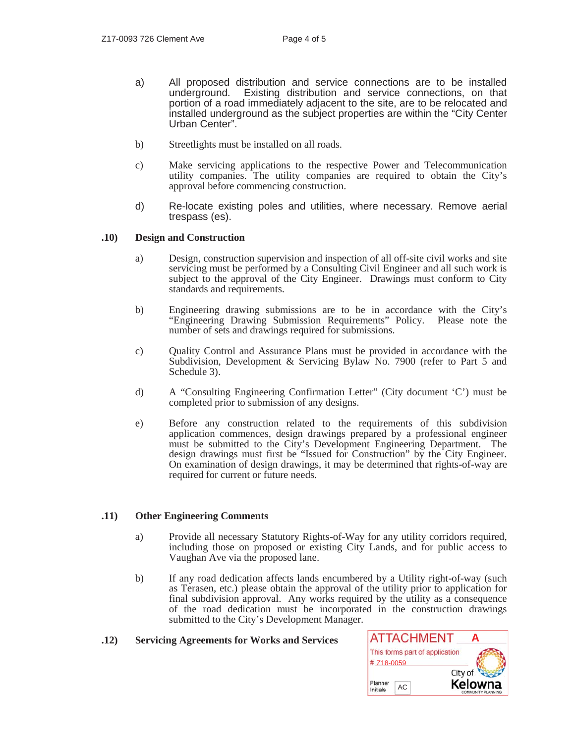- a) All proposed distribution and service connections are to be installed Existing distribution and service connections, on that portion of a road immediately adjacent to the site, are to be relocated and installed underground as the subject properties are within the "City Center Urban Center".
- b) Streetlights must be installed on all roads.
- c) Make servicing applications to the respective Power and Telecommunication utility companies. The utility companies are required to obtain the City's approval before commencing construction.
- d) Re-locate existing poles and utilities, where necessary. Remove aerial trespass (es).

### **.10) Design and Construction**

- a) Design, construction supervision and inspection of all off-site civil works and site servicing must be performed by a Consulting Civil Engineer and all such work is subject to the approval of the City Engineer. Drawings must conform to City standards and requirements.
- b) Engineering drawing submissions are to be in accordance with the City's "Engineering Drawing Submission Requirements" Policy. Please note the number of sets and drawings required for submissions.
- c) Quality Control and Assurance Plans must be provided in accordance with the Subdivision, Development & Servicing Bylaw No. 7900 (refer to Part 5 and Schedule 3).
- d) A "Consulting Engineering Confirmation Letter" (City document 'C') must be completed prior to submission of any designs.
- e) Before any construction related to the requirements of this subdivision application commences, design drawings prepared by a professional engineer must be submitted to the City's Development Engineering Department. The design drawings must first be "Issued for Construction" by the City Engineer. On examination of design drawings, it may be determined that rights-of-way are required for current or future needs.

### **.11) Other Engineering Comments**

- a) Provide all necessary Statutory Rights-of-Way for any utility corridors required, including those on proposed or existing City Lands, and for public access to Vaughan Ave via the proposed lane.
- b) If any road dedication affects lands encumbered by a Utility right-of-way (such as Terasen, etc.) please obtain the approval of the utility prior to application for final subdivision approval. Any works required by the utility as a consequence of the road dedication must be incorporated in the construction drawings submitted to the City's Development Manager.

### **.12) Servicing Agreements for Works and Services A**

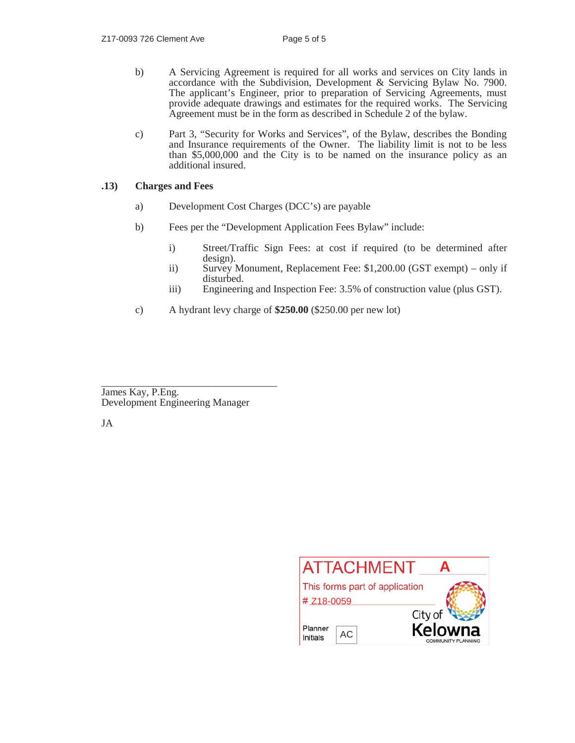- b) A Servicing Agreement is required for all works and services on City lands in accordance with the Subdivision, Development & Servicing Bylaw No. 7900. The applicant's Engineer, prior to preparation of Servicing Agreements, must provide adequate drawings and estimates for the required works. The Servicing Agreement must be in the form as described in Schedule 2 of the bylaw.
- c) Part 3, "Security for Works and Services", of the Bylaw, describes the Bonding and Insurance requirements of the Owner. The liability limit is not to be less than \$5,000,000 and the City is to be named on the insurance policy as an additional insured.

### **.13) Charges and Fees**

- a) Development Cost Charges (DCC's) are payable
- b) Fees per the "Development Application Fees Bylaw" include:
	- i) Street/Traffic Sign Fees: at cost if required (to be determined after design).
	- ii) Survey Monument, Replacement Fee: \$1,200.00 (GST exempt) only if disturbed.
	- iii) Engineering and Inspection Fee: 3.5% of construction value (plus GST).
- c) A hydrant levy charge of **\$250.00** (\$250.00 per new lot)

\_\_\_\_\_\_\_\_\_\_\_\_\_\_\_\_\_\_\_\_\_\_\_\_\_\_\_\_\_\_\_\_\_\_ James Kay, P.Eng. Development Engineering Manager

JA

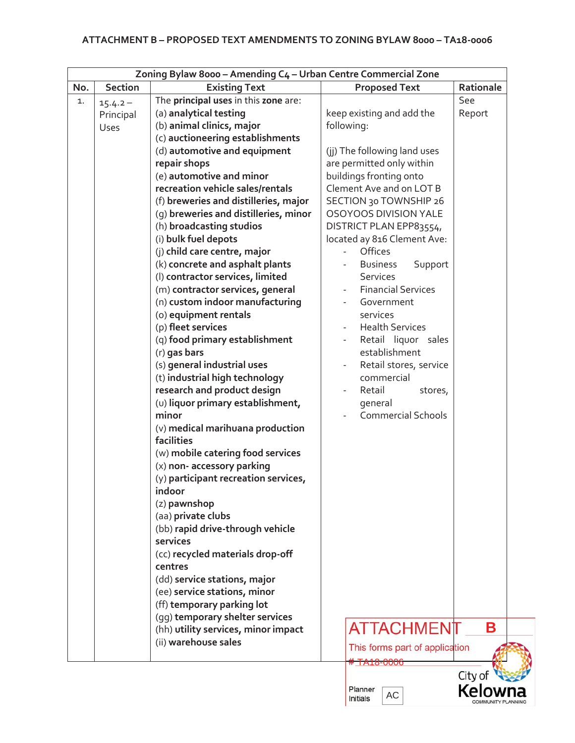|     |                | Zoning Bylaw 8000 - Amending C4 - Urban Centre Commercial Zone  |                                |           |
|-----|----------------|-----------------------------------------------------------------|--------------------------------|-----------|
| No. | <b>Section</b> | <b>Existing Text</b>                                            | <b>Proposed Text</b>           | Rationale |
| 1.  | $15.4.2 -$     | The principal uses in this zone are:                            |                                | See       |
|     | Principal      | (a) analytical testing                                          | keep existing and add the      | Report    |
|     | Uses           | (b) animal clinics, major                                       | following:                     |           |
|     |                | (c) auctioneering establishments                                |                                |           |
|     |                | (d) automotive and equipment                                    | (jj) The following land uses   |           |
|     |                | repair shops                                                    | are permitted only within      |           |
|     |                | (e) automotive and minor                                        | buildings fronting onto        |           |
|     |                | recreation vehicle sales/rentals                                | Clement Ave and on LOT B       |           |
|     |                | (f) breweries and distilleries, major                           | SECTION 30 TOWNSHIP 26         |           |
|     |                | (g) breweries and distilleries, minor                           | OSOYOOS DIVISION YALE          |           |
|     |                | (h) broadcasting studios                                        | DISTRICT PLAN EPP83554,        |           |
|     |                | (i) bulk fuel depots                                            | located ay 816 Clement Ave:    |           |
|     |                | (j) child care centre, major                                    | Offices                        |           |
|     |                | (k) concrete and asphalt plants                                 | Support<br><b>Business</b>     |           |
|     |                | (l) contractor services, limited                                | <b>Services</b>                |           |
|     |                | (m) contractor services, general                                | <b>Financial Services</b>      |           |
|     |                | (n) custom indoor manufacturing                                 | Government                     |           |
|     |                | (o) equipment rentals                                           | services                       |           |
|     |                | (p) fleet services                                              | <b>Health Services</b>         |           |
|     |                | (q) food primary establishment                                  | Retail liquor sales            |           |
|     |                | (r) gas bars                                                    | establishment                  |           |
|     |                | (s) general industrial uses                                     | Retail stores, service         |           |
|     |                | (t) industrial high technology                                  | commercial                     |           |
|     |                | research and product design                                     | Retail<br>stores,              |           |
|     |                | (u) liquor primary establishment,                               | general                        |           |
|     |                | minor                                                           | <b>Commercial Schools</b>      |           |
|     |                | (v) medical marihuana production<br>facilities                  |                                |           |
|     |                |                                                                 |                                |           |
|     |                | (w) mobile catering food services<br>(x) non- accessory parking |                                |           |
|     |                | (y) participant recreation services,                            |                                |           |
|     |                | indoor                                                          |                                |           |
|     |                | (z) pawnshop                                                    |                                |           |
|     |                | (aa) private clubs                                              |                                |           |
|     |                | (bb) rapid drive-through vehicle                                |                                |           |
|     |                | services                                                        |                                |           |
|     |                | (cc) recycled materials drop-off                                |                                |           |
|     |                | centres                                                         |                                |           |
|     |                | (dd) service stations, major                                    |                                |           |
|     |                | (ee) service stations, minor                                    |                                |           |
|     |                | (ff) temporary parking lot                                      |                                |           |
|     |                | (gg) temporary shelter services                                 |                                |           |
|     |                | (hh) utility services, minor impact                             | <b>ATTACHMENT</b>              | Β         |
|     |                | (ii) warehouse sales                                            |                                |           |
|     |                |                                                                 | This forms part of application |           |
|     |                |                                                                 | # TA18-0006                    |           |
|     |                |                                                                 |                                | City of   |

Planner ACInitials

Kelowna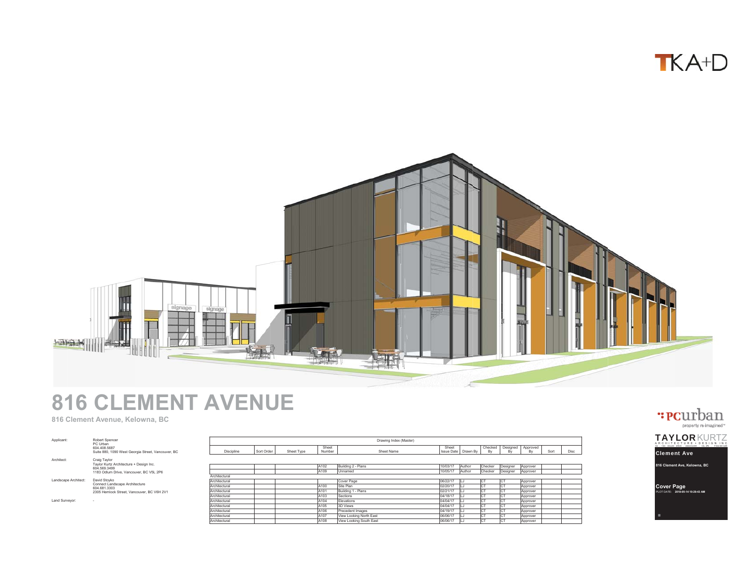TKA<sup>+</sup>D



# **816 CLEMENT AVENUE**

816 Clement Avenue, Kelowna, BC

| Applicant:             | Robert Spencer<br>PC Urban<br>604 408 5687<br>Suite 880, 1090 West Georgia Street, Vancouver, BC                   |
|------------------------|--------------------------------------------------------------------------------------------------------------------|
| Architect <sup>-</sup> | Craig Taylor<br>Taylor Kurtz Architecture + Design Inc.<br>604 569 3499<br>1183 Odlum Drive, Vancouver, BC V5L 2P6 |
| Landscape Architect:   | David Stovko<br>Connect Landscape Architecture<br>604 681 3303<br>2305 Hemlock Street. Vancouver. BC V6H 2V1       |
| Land Survevor:         | ۰                                                                                                                  |

|               |            |            |                 | Drawing Index (Master)  |                                |        |               |                      |                |      |      |
|---------------|------------|------------|-----------------|-------------------------|--------------------------------|--------|---------------|----------------------|----------------|------|------|
| Discipline    | Sort Order | Sheet Type | Sheet<br>Number | Sheet Name              | Sheet<br>Issue Date   Drawn By |        | Checked<br>Bv | Designed<br>Bv       | Approved<br>Bv | Sort | Disc |
|               |            |            |                 |                         |                                |        |               |                      |                |      |      |
|               |            |            |                 |                         |                                |        |               |                      |                |      |      |
|               |            |            | A102            | Building 2 - Plans      | 10/03/17                       | Author | Checker       | Designer             | Approver       |      |      |
|               |            |            | A109            | Unnamed                 | 10/05/17                       | Author | Checker       | Designer             | Approver       |      |      |
| Architectural |            |            |                 |                         |                                |        |               |                      |                |      |      |
| Architectural |            |            |                 | Cover Page              | 06/22/17                       | ILJ    | Іст           | Iст                  | Approver       |      |      |
| Architectural |            |            | A100            | Site Plan               | 02/20/17                       |        | CT            | Iст                  | Approver       |      |      |
| Architectural |            |            | A101            | Building 1 - Plans      | 02/21/17                       |        | CT            | ICT                  | Approver       |      |      |
| Architectural |            |            | A103            | Sections                | 04/18/17                       |        | CT            | СT                   | Approver       |      |      |
| Architectural |            |            | A104            | Elevations              | 04/04/17                       |        | CT            | ICT                  | Approver       |      |      |
| Architectural |            |            | A105            | 3D Views                | 04/04/17                       |        | CT            | CT                   | Approver       |      |      |
| Architectural |            |            | A106            | Precedent Images        | 04/19/17                       |        | CT            | CT                   | Approver       |      |      |
| Architectural |            |            | A107            | View Looking North East | 06/06/17                       |        | CT            | CT                   | Approver       |      |      |
| Architectural |            |            | A108            | View Looking South East | 06/06/17                       |        | CT            | $\overline{a}$<br>юı | Approver       |      |      |



TAYLOR KURTZ<br>ARCHITECTURE + DESIGN ING 100 -- 1183 CIDLIAN DRIVE / VANCOUVER / VSL 2P6 / P 604 559 3499

Clement Ave

816 Clement Ave, Kelowna, BC

**Cover Page**<br>PLOT DATE: 2018-05-14 10:29:43 AM

.